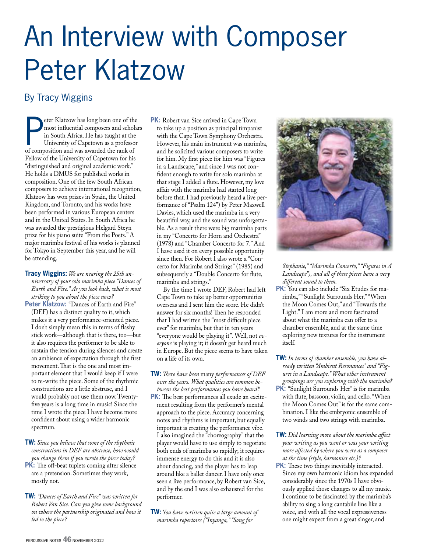# An Interview with Composer Peter Klatzow

### By Tracy Wiggins

**EXECUTE COMPREND CONTINUITY CONTINUITY**<br>
In South Africa. He has taught at the<br>
University of Capetown as a professo<br>
of composition and was awarded the rank of eter Klatzow has long been one of the most influential composers and scholars in South Africa. He has taught at the University of Capetown as a professor Fellow of the University of Capetown for his "distinguished and original academic work." He holds a DMUS for published works in composition. One of the few South African composers to achieve international recognition, Klatzow has won prizes in Spain, the United Kingdom, and Toronto, and his works have been performed in various European centers and in the United States. In South Africa he was awarded the prestigious Helgard Steyn prize for his piano suite "From the Poets." A major marimba festival of his works is planned for Tokyo in September this year, and he will be attending.

**Tracy Wiggins:** *We are nearing the 25th anniversary of your solo marimba piece "Dances of Earth and Fire." As you look back, what is most striking to you about the piece now?*

- Peter Klatzow: "Dances of Earth and Fire" (DEF) has a distinct quality to it, which makes it a very performance-oriented piece. I don't simply mean this in terms of flashy stick work—although that is there, too—but it also requires the performer to be able to sustain the tension during silences and create an ambience of expectation through the first movement. That is the one and most important element that I would keep if I were to re-write the piece. Some of the rhythmic constructions are a little abstruse, and I would probably not use them now. Twentyfive years is a long time in music! Since the time I wrote the piece I have become more confident about using a wider harmonic spectrum.
- **TW:** *Since you believe that some of the rhythmic constructions in DEF are abstruse, how would you change them if you wrote the piece today?* **PK:** The off-beat tuplets coming after silence are a pretension. Sometimes they work, mostly not.
- **TW:** *"Dances of Earth and Fire" was written for Robert Van Sice. Can you give some background on where the partnership originated and how it led to the piece?*

**PK:** Robert van Sice arrived in Cape Town to take up a position as principal timpanist with the Cape Town Symphony Orchestra. However, his main instrument was marimba, and he solicited various composers to write for him. My first piece for him was "Figures in a Landscape," and since I was not confident enough to write for solo marimba at that stage I added a flute. However, my love affair with the marimba had started long before that. I had previously heard a live performance of "Psalm 124") by Peter Maxwell Davies, which used the marimba in a very beautiful way, and the sound was unforgettable. As a result there were big marimba parts in my "Concerto for Horn and Orchestra" (1978) and "Chamber Concerto for 7." And I have used it on every possible opportunity since then. For Robert I also wrote a "Concerto for Marimba and Strings" (1985) and subsequently a "Double Concerto for flute, marimba and strings."

 By the time I wrote DEF, Robert had left Cape Town to take up better opportunities overseas and I sent him the score. He didn't answer for six months! Then he responded that I had written the "most difficult piece ever" for marimba, but that in ten years "everyone would be playing it". Well, not *everyone* is playing it; it doesn't get heard much in Europe. But the piece seems to have taken on a life of its own.

- **TW:** *There have been* many *performances of DEF over the years. What qualities are common between the best performances you have heard?* **PK:** The best performances all exude an excitement resulting from the performer's mental approach to the piece. Accuracy concerning notes and rhythms is important, but equally important is creating the performance vibe. I also imagined the "choreography" that the player would have to use simply to negotiate both ends of marimba so rapidly; it requires immense energy to do this and it is also about dancing, and the player has to leap around like a ballet dancer. I have only once seen a live performance, by Robert van Sice, and by the end I was also exhausted for the performer.
- **TW:** *You have written quite a large amount of marimba repertoire ("Inyanga," "Song for*



*Stephanie," "Marimba Concerto," "Figures in A Landscape"), and all of these pieces have a very different sound to them.* 

- **PK:** You can also include "Six Etudes for marimba," "Sunlight Surrounds Her," "When the Moon Comes Out," and "Towards the Light." I am more and more fascinated about what the marimba can offer to a chamber ensemble, and at the same time exploring new textures for the instrument itself.
- **TW:** *In terms of chamber ensemble, you have already written "Ambient Resonances" and "Figures in a Landscape." What other instrument groupings are you exploring with the marimba?* **PK:** "Sunlight Surrounds Her" is for marimba with flute, bassoon, violin, and cello. "When the Moon Comes Out" is for the same combination. I like the embryonic ensemble of two winds and two strings with marimba.
- **TW:** *Did learning more about the marimba affect your writing as you went or was your writing more affected by where you were as a composer at the time (style, harmonies etc.)?*
- **PK:** These two things inevitably interacted. Since my own harmonic idiom has expanded considerably since the 1970s I have obviously applied those changes to all my music. I continue to be fascinated by the marimba's ability to sing a long cantabile line like a voice, and with all the vocal expressiveness one might expect from a great singer, and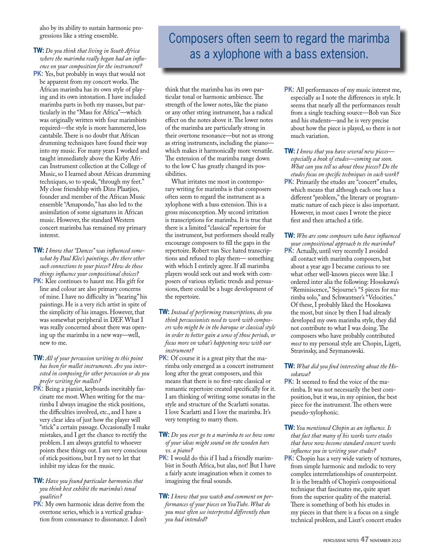also by its ability to sustain harmonic progressions like a string ensemble.

#### **TW:** *Do you think that living in South Africa where the marimba really began had an influence on your composition for the instrument?*

**PK:** Yes, but probably in ways that would not be apparent from my concert works. The African marimba has its own style of playing and its own intonation. I have included marimba parts in both my masses, but particularly in the "Mass for Africa"—which was originally written with four marimbists required—the style is more hammered, less cantabile. There is no doubt that African drumming techniques have found their way into my music. For many years I worked and taught immediately above the Kirby African Instrument collection at the College of Music, so I learned about African drumming techniques, so to speak, "through my feet." My close friendship with Dizu Plaatjies, founder and member of the African Music ensemble "Amapondo," has also led to the assimilation of some signatures in African music. However, the standard Western concert marimba has remained my primary interest.

- **TW:** *I know that "Dances" was influenced somewhat by Paul Klee's paintings. Are there other such connections to your pieces? How do these things influence your compositional choices?* **PK:** Klee continues to haunt me. His gift for line and colour are also primary concerns
- of mine. I have no difficulty in "hearing" his paintings. He is a very rich artist in spite of the simplicity of his images. However, that was somewhat peripheral in DEF. What I was really concerned about there was opening up the marimba in a new way—well, new to me.
- **TW:** *All of your percussion writing to this point has been for mallet instruments. Are you interested in composing for other percussion or do you prefer writing for mallets?*
- **PK:** Being a pianist, keyboards inevitably fascinate me most. When writing for the marimba I always imagine the stick positions, the difficulties involved, etc., and I have a very clear idea of just how the player will "stick" a certain passage. Occasionally I make mistakes, and I get the chance to rectify the problem. I am always grateful to whoever points these things out. I am very conscious of stick positions, but I try not to let that inhibit my ideas for the music.

#### **TW:** *Have you found particular harmonies that you think best exhibit the marimba's tonal qualities?*

**PK:** My own harmonic ideas derive from the overtone series, which is a vertical graduation from consonance to dissonance. I don't

## Composers often seem to regard the marimba as a xylophone with a bass extension.

think that the marimba has its own particular tonal or harmonic ambience. The strength of the lower notes, like the piano or any other string instrument, has a radical effect on the notes above it. The lower notes of the marimba are particularly strong in their overtone resonance—but not as strong as string instruments, including the piano which makes it harmonically more versatile. The extension of the marimba range down to the low C has greatly changed its possibilities.

 What irritates me most in contemporary writing for marimba is that composers often seem to regard the instrument as a xylophone with a bass extension. This is a gross misconception. My second irritation is transcriptions for marimba. It is true that there is a limited "classical" repertoire for the instrument, but performers should really encourage composers to fill the gaps in the repertoire. Robert van Sice hated transcriptions and refused to play them— something with which I entirely agree. If all marimba players would seek out and work with composers of various stylistic trends and persuasions, there could be a huge development of the repertoire.

- **TW:** *Instead of performing transcriptions, do you think percussionists need to work with composers who might be in the baroque or classical style in order to better gain a sense of those periods, or focus more on what's happening now with our instrument?*
- **PK:** Of course it is a great pity that the marimba only emerged as a concert instrument long after the great composers, and this means that there is no first-rate classical or romantic repertoire created specifically for it. I am thinking of writing some sonatas in the style and structure of the Scarlatti sonatas. I love Scarlatti and I love the marimba. It's very tempting to marry them.
- **TW:** *Do you ever go to a marimba to see how some of your ideas might sound on the wooden bars vs. a piano?*
- **PK:** I would do this if I had a friendly marimbist in South Africa, but alas, not! But I have a fairly acute imagination when it comes to imagining the final sounds.

**TW:** *I know that you watch and comment on performances of your pieces on YouTube. What do you most often see interpreted differently than you had intended?*

- **PK:** All performances of my music interest me, especially as I note the differences in style. It seems that nearly all the performances result from a single teaching source—Bob van Sice and his students—and he is very precise about how the piece is played, so there is not much variation.
- **TW:** *I know that you have several new pieces especially a book of etudes—coming out soon. What can you tell us about those pieces? Do the etudes focus on specific techniques in each work?*  **PK:** Primarily the etudes are "concert" etudes, which means that although each one has a different "problem," the literary or programmatic nature of each piece is also important. However, in most cases I wrote the piece

#### **TW:** *Who are some composers who have influenced your compositional approach to the marimba?*

first and then attached a title.

**PK:** Actually, until very recently I avoided all contact with marimba composers, but about a year ago I became curious to see what other well-known pieces were like. I ordered inter alia the following: Hosokawa's "Reminiscence," Sejourne's "5 pieces for marimba solo," and Schwantner's "Velocities." Of these, I probably liked the Hosokawa the most, but since by then I had already developed my own marimba style, they did not contribute to what I was doing. The composers who have probably contributed *most* to my personal style are Chopin, Ligeti, Stravinsky, and Szymanowski.

#### **TW:** *What did you find interesting about the Hosokawa?*

- **PK:** It seemed to find the voice of the marimba. It was not necessarily the best composition, but it was, in my opinion, the best piece for the instrument. The others were pseudo-xylophonic.
- **TW:** *You mentioned Chopin as an influence. Is that fact that many of his works were etudes that have now become standard concert works influence you in writing your etudes?*
- **PK:** Chopin has a very wide variety of textures, from simple harmonic and melodic to very complex interrelationships of counterpoint. It is the breadth of Chopin's compositional technique that fascinates me, quite apart from the superior quality of the material. There is something of both his etudes in my pieces in that there is a focus on a single technical problem, and Liszt's concert etudes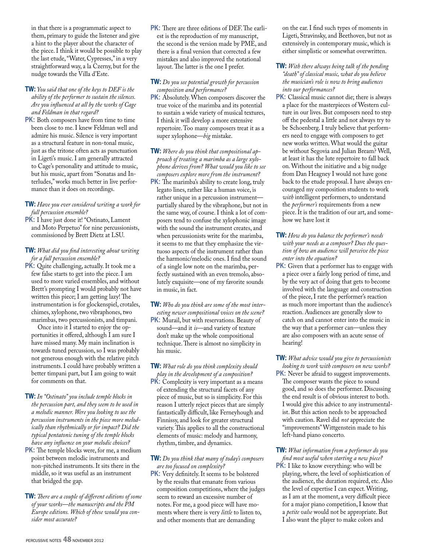in that there is a programmatic aspect to them, primary to guide the listener and give a hint to the player about the character of the piece. I think it would be possible to play the last etude, "Water, Cypresses," in a very straightforward way, a la Czerny, but for the nudge towards the Villa d'Este.

- **TW:** *You said that one of the keys to DEF is the ability of the performer to sustain the silences. Are you influenced at all by the works of Cage and Feldman in that regard?*
- **PK:** Both composers have from time to time been close to me. I knew Feldman well and admire his music. Silence is very important as a structural feature in non-tonal music, just as the tritone often acts as punctuation in Ligeti's music. I am generally attracted to Cage's personality and attitude to music, but his music, apart from "Sonatas and Interludes," works much better in live performance than it does on recordings.

#### **TW:** *Have you ever considered writing a work for full percussion ensemble?*

PK: I have just done it! "Ostinato, Lament and Moto Perpetuo" for nine percussionists, commissioned by Brett Dietz at LSU.

#### **TW:** *What did you find interesting about writing for a full percussion ensemble?*

PK: Quite challenging, actually. It took me a few false starts to get into the piece. I am used to more varied ensembles, and without Brett's prompting I would probably not have written this piece; I am getting lazy! The instrumentation is for glockenspiel, crotales, chimes, xylophone, two vibraphones, two marimbas, two percussionists, and timpani.

 Once into it I started to enjoy the opportunities it offered, although I am sure I have missed many. My main inclination is towards tuned percussion, so I was probably not generous enough with the relative pitch instruments. I could have probably written a better timpani part, but I am going to wait for comments on that.

- **TW:** *In "Ostinato" you include temple blocks in the percussion part, and they seem to be used in a melodic manner. Were you looking to use the percussion instruments in the piece more melodically than rhythmically or for impact? Did the typical pentatonic tuning of the temple blocks have any influence on your melodic choices?*
- **PK:** The temple blocks were, for me, a medium point between melodic instruments and non-pitched instruments. It sits there in the middle, so it was useful as an instrument that bridged the gap.

**TW:** *There are a couple of different editions of some of your works—the manuscripts and the PM Europe editions. Which of these would you consider most accurate?* 

**PK:** There are three editions of DEF. The earliest is the reproduction of my manuscript, the second is the version made by PME, and there is a final version that corrected a few mistakes and also improved the notational layout. The latter is the one I prefer.

**TW:** *Do you see potential growth for percussion composition and performance?*

**PK:** Absolutely. When composers discover the true voice of the marimba and its potential to sustain a wide variety of musical textures, I think it will develop a more extensive repertoire. Too many composers treat it as a super xylophone—*big* mistake.

**TW:** *Where do you think that compositional approach of treating a marimba as a large xylophone derives from? What would you like to see composers explore more from the instrument?*

**PK:** The marimba's ability to create long, truly legato lines, rather like a human voice, is rather unique in a percussion instrument partially shared by the vibraphone, but not in the same way, of course. I think a lot of composers tend to confuse the xylophonic image with the sound the instrument creates, and when percussionists write for the marimba, it seems to me that they emphasize the virtuoso aspects of the instrument rather than the harmonic/melodic ones. I find the sound of a single low note on the marimba, perfectly sustained with an even tremolo, absolutely exquisite—one of my favorite sounds in music, in fact.

**TW:** *Who do you think are some of the most interesting newer compositional voices on the scene?*

- **PK:** Murail, but with reservations. Beauty of sound—and it *is*—and variety of texture don't make up the whole compositional technique. There is almost no simplicity in his music.
- **TW:** *What role do you think complexity should play in the development of a composition?* **PK:** Complexity is very important as a means of extending the structural facets of any piece of music, but so is simplicity. For this reason I utterly reject pieces that are simply fantastically difficult, like Ferneyhough and Finnissy, and look for greater structural variety. This applies to all the constructional elements of music: melody and harmony, rhythm, timbre, and dynamics.

#### **TW:** *Do you think that many of today's composers are too focused on complexity?*

**PK:** Very definitely. It seems to be bolstered by the results that emanate from various composition competitions, where the judges seem to reward an excessive number of notes. For me, a good piece will have moments where there is very *little* to listen to, and other moments that are demanding

on the ear. I find such types of moments in Ligeti, Stravinsky, and Beethoven, but not as extensively in contemporary music, which is either simplistic or somewhat overwritten.

- **TW:** *With there always being talk of the pending "death" of classical music, what do you believe the musician's role is now to bring audiences into our performances?*
- **PK:** Classical music cannot die; there is always a place for the masterpieces of Western culture in our lives. But composers need to step off the pedestal a little and not always try to be Schoenberg. I truly believe that performers need to engage with composers to get new works written. What would the guitar be without Segovia and Julian Bream? Well, at least it has the lute repertoire to fall back on. Without the initiative and a big nudge from Dan Heagney I would not have gone back to the etude proposal. I have always encouraged my composition students to work *with* intelligent performers, to understand the *performer's* requirements from a new piece. It is the tradition of our art, and somehow we have lost it

#### **TW:** *How do you balance the performer's needs with your needs as a composer? Does the question of how an audience will perceive the piece enter into the equation?*

**PK:** Given that a performer has to engage with a piece over a fairly long period of time, and by the very act of doing that gets to become involved with the language and construction of the piece, I rate the performer's reaction as much more important than the audience's reaction. Audiences are generally slow to catch on and cannot enter into the music in the way that a performer can—unless they are also composers with an acute sense of hearing!

**TW:** *What advice would you give to percussionists looking to work with composers on new works?* **PK:** Never be afraid to suggest improvements. The composer wants the piece to sound good, and so does the performer. Discussing the end result is of obvious interest to both. I would give this advice to any instrumentalist. But this action needs to be approached with caution. Ravel did *not* appreciate the "improvements" Wittgenstein made to his left-hand piano concerto.

**TW:** *What information from a performer do you find most useful when starting a new piece?* **PK:** I like to know everything: who will be playing, where, the level of sophistication of the audience, the duration required, etc. Also the level of expertise I can expect. Writing, as I am at the moment, a very difficult piece for a major piano competition, I know that a *petite valse* would not be appropriate. But I also want the player to make colors and